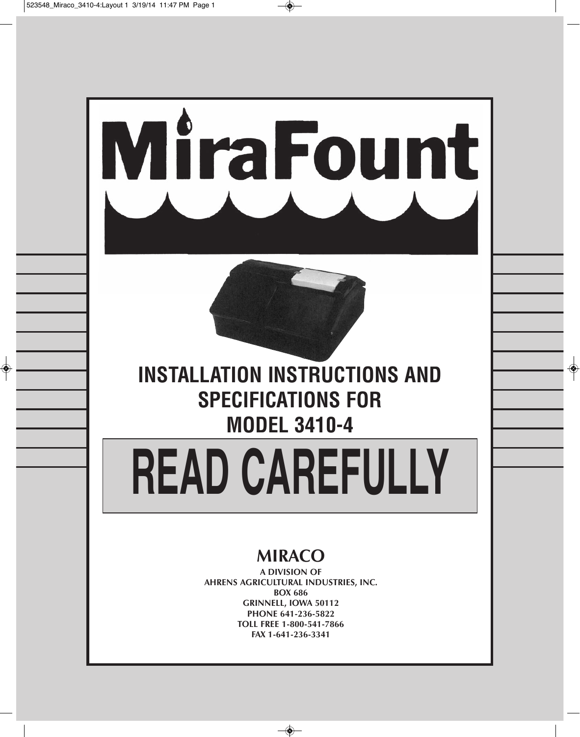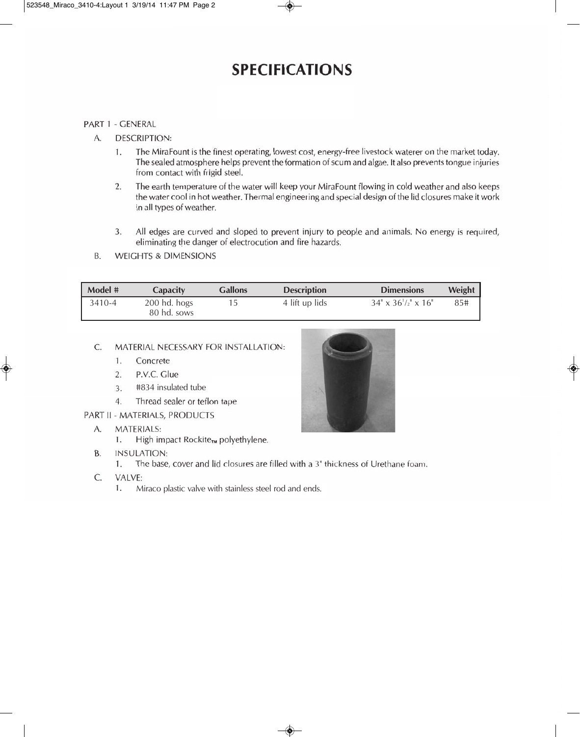## **SPECIFICATIONS**

#### **PART 1 - GENERAL**

- $A$ **DESCRIPTION:** 
	- The MiraFount is the finest operating, lowest cost, energy-free livestock waterer on the market today.  $\mathbf{1}$ . The sealed atmosphere helps prevent the formation of scum and algae. It also prevents tongue injuries from contact with frigid steel.
	- $2.$ The earth temperature of the water will keep your MiraFount flowing in cold weather and also keeps the water cool in hot weather. Thermal engineering and special design of the lid closures make it work in all types of weather.
	- All edges are curved and sloped to prevent injury to people and animals. No energy is required,  $3.$ eliminating the danger of electrocution and fire hazards.
- **WEIGHTS & DIMENSIONS** B.

| Model # | <b>Capacity</b>             | <b>Gallons</b> | <b>Description</b> | <b>Dimensions</b>              | Weight |
|---------|-----------------------------|----------------|--------------------|--------------------------------|--------|
| 3410-4  | 200 hd. hogs<br>80 hd. sows |                | 4 lift up lids     | $34" \times 36'/2" \times 16"$ | 85#    |

#### C. MATERIAL NECESSARY FOR INSTALLATION:

- Concrete  $1.$
- P.V.C. Glue  $\overline{2}$ .
- #834 insulated tube  $3.$
- $\overline{4}$ Thread sealer or teflon tape
- PART II MATERIALS, PRODUCTS
	- **MATERIALS:**  $A_{n}$ 
		- High impact Rockite<sub>TM</sub> polyethylene.  $1.$
	- **B. INSULATION:** 
		- The base, cover and lid closures are filled with a 3" thickness of Urethane foam.  $1.$
	- $C_{\cdot}$ VALVE:
		- 1. Miraco plastic valve with stainless steel rod and ends.

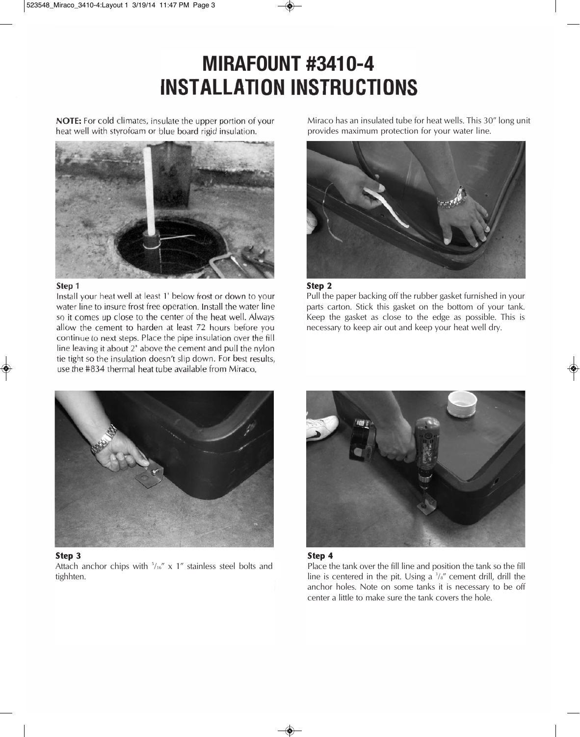# **MIRAFOUNT #3410-4<br>INSTALLATION INSTRUCTIONS**

NOTE: For cold climates, insulate the upper portion of your heat well with styrofoam or blue board rigid insulation.



#### Step 1

Install your heat well at least 1' below frost or down to your water line to insure frost free operation. Install the water line so it comes up close to the center of the heat well. Always allow the cement to harden at least 72 hours before you continue to next steps. Place the pipe insulation over the fill line leaving it about 2" above the cement and pull the nylon tie tight so the insulation doesn't slip down. For best results, use the #834 thermal heat tube available from Miraco.

Miraco has an insulated tube for heat wells. This 30" long unit provides maximum protection for your water line.



#### **Step 2**

Pull the paper backing off the rubber gasket furnished in your parts carton. Stick this gasket on the bottom of your tank. Keep the gasket as close to the edge as possible. This is necessary to keep air out and keep your heat well dry.



#### **Step 3**

Attach anchor chips with  $5/16''$  x 1" stainless steel bolts and tighhten.





Place the tank over the fill line and position the tank so the fill line is centered in the pit. Using a  $\frac{3}{8}$  cement drill, drill the anchor holes. Note on some tanks it is necessary to be off center a little to make sure the tank covers the hole.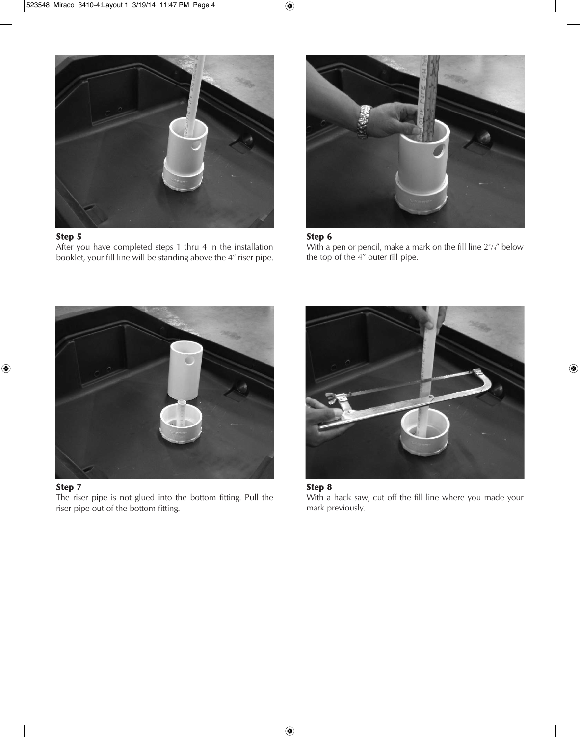

After you have completed steps 1 thru 4 in the installation booklet, your fill line will be standing above the 4" riser pipe.



#### **Step 6**

With a pen or pencil, make a mark on the fill line  $2<sup>3</sup>/<sub>4</sub>$ " below the top of the 4" outer fill pipe.





The riser pipe is not glued into the bottom fitting. Pull the riser pipe out of the bottom fitting.



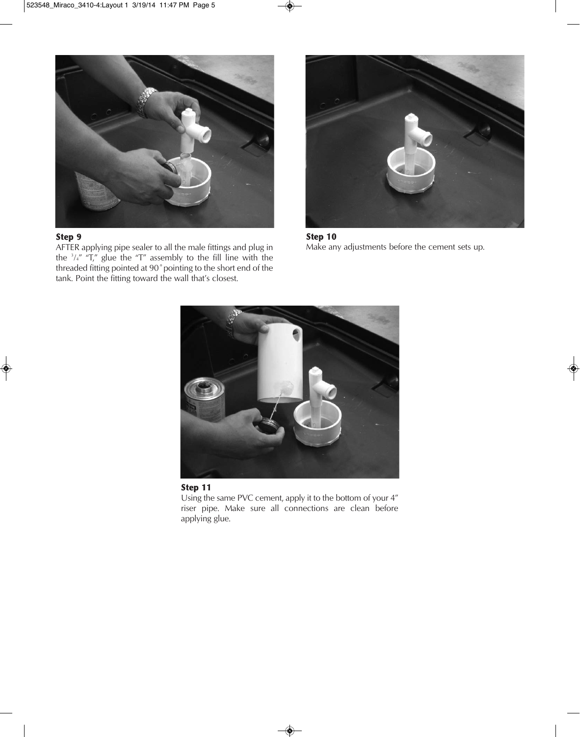

AFTER applying pipe sealer to all the male fittings and plug in the  $\frac{3}{4}$ " "T," glue the "T" assembly to the fill line with the threaded fitting pointed at 90˚pointing to the short end of the tank. Point the fitting toward the wall that's closest.



**Step 10** Make any adjustments before the cement sets up.





Using the same PVC cement, apply it to the bottom of your 4" riser pipe. Make sure all connections are clean before applying glue.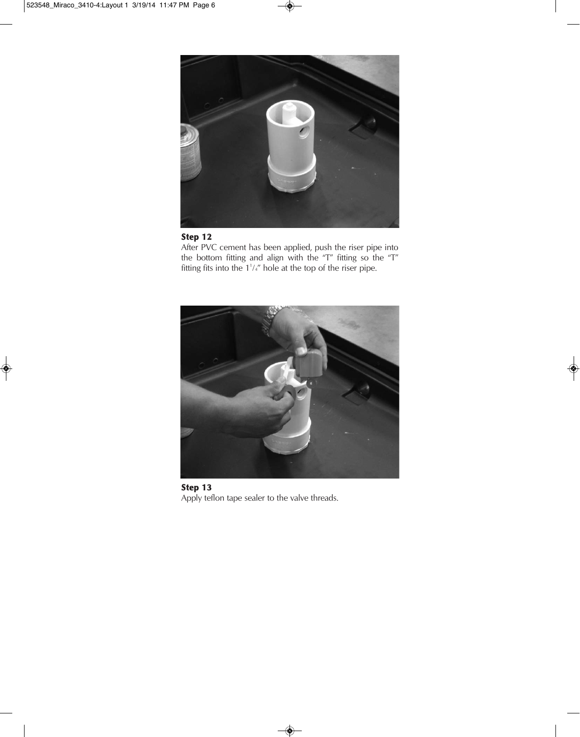

After PVC cement has been applied, push the riser pipe into the bottom fitting and align with the "T" fitting so the "T" fitting fits into the  $1'/4''$  hole at the top of the riser pipe.



**Step 13** Apply teflon tape sealer to the valve threads.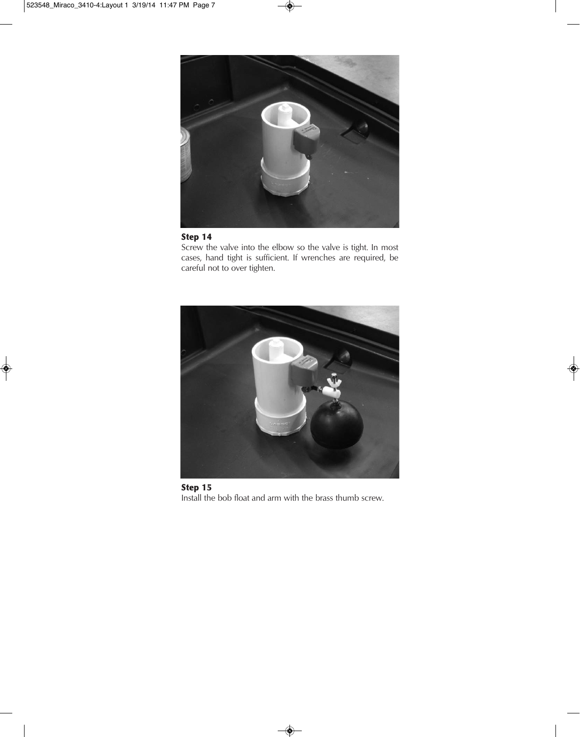

Screw the valve into the elbow so the valve is tight. In most cases, hand tight is sufficient. If wrenches are required, be careful not to over tighten.



**Step 15** Install the bob float and arm with the brass thumb screw.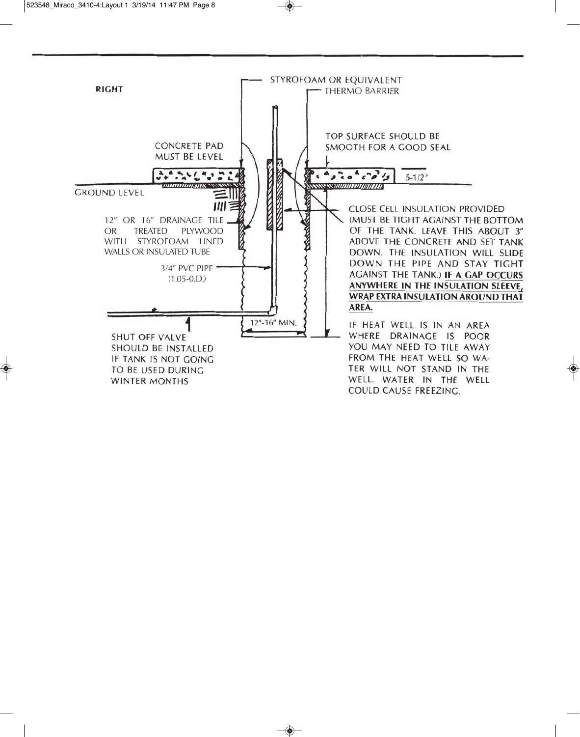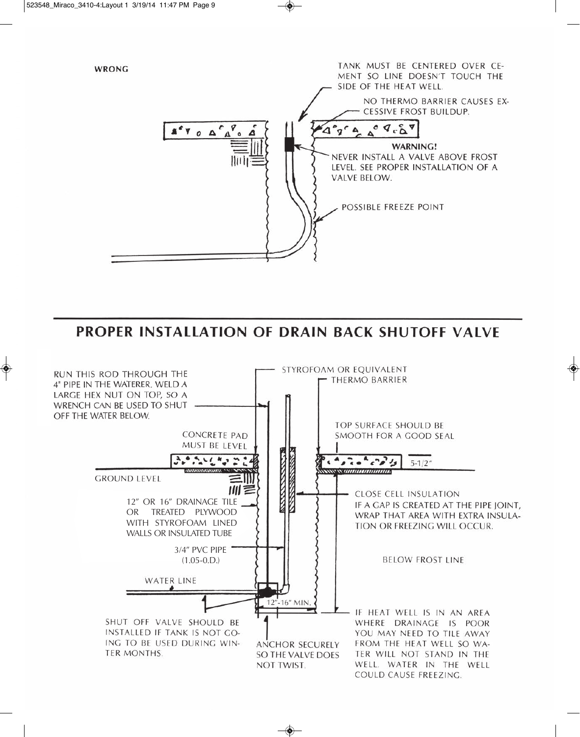

PROPER INSTALLATION OF DRAIN BACK SHUTOFF VALVE

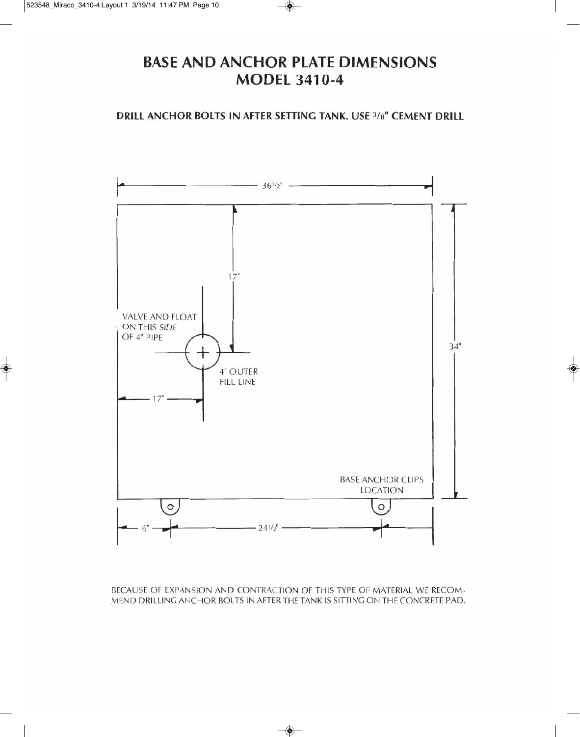## **BASE AND ANCHOR PLATE DIMENSIONS MODEL 3410-4**

DRILL ANCHOR BOLTS IN AFTER SETTING TANK. USE 3/8" CEMENT DRILL



BECAUSE OF EXPANSION AND CONTRACTION OF THIS TYPE OF MATERIAL WE RECOM-MEND DRILLING ANCHOR BOLTS IN AFTER THE TANK IS SITTING ON THE CONCRETE PAD.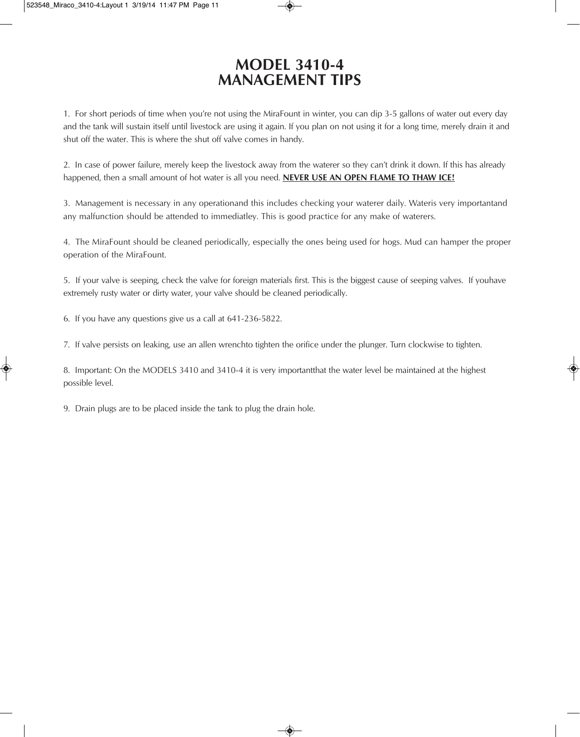## **MODEL 3410-4 MANAGEMENT TIPS**

1. For short periods of time when you're not using the MiraFount in winter, you can dip 3-5 gallons of water out every day and the tank will sustain itself until livestock are using it again. If you plan on not using it for a long time, merely drain it and shut off the water. This is where the shut off valve comes in handy.

2. In case of power failure, merely keep the livestock away from the waterer so they can't drink it down. If this has already happened, then a small amount of hot water is all you need. **NEVER USE AN OPEN FLAME TO THAW ICE!**

3. Management is necessary in any operationand this includes checking your waterer daily. Wateris very importantand any malfunction should be attended to immediatley. This is good practice for any make of waterers.

4. The MiraFount should be cleaned periodically, especially the ones being used for hogs. Mud can hamper the proper operation of the MiraFount.

5. If your valve is seeping, check the valve for foreign materials first. This is the biggest cause of seeping valves. If youhave extremely rusty water or dirty water, your valve should be cleaned periodically.

6. If you have any questions give us a call at 641-236-5822.

7. If valve persists on leaking, use an allen wrenchto tighten the orifice under the plunger. Turn clockwise to tighten.

8. Important: On the MODELS 3410 and 3410-4 it is very importantthat the water level be maintained at the highest possible level.

9. Drain plugs are to be placed inside the tank to plug the drain hole.